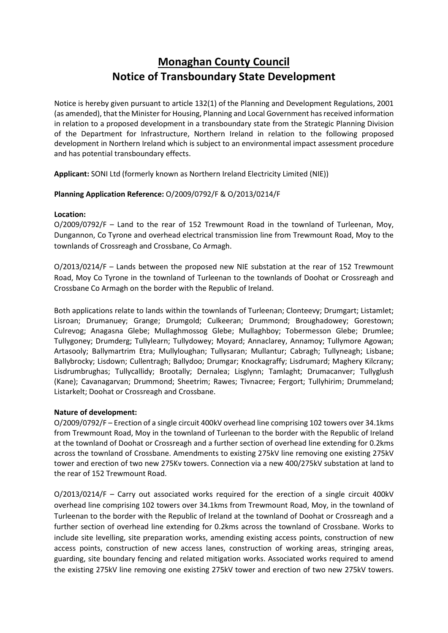## **Monaghan County Council Notice of Transboundary State Development**

Notice is hereby given pursuant to article 132(1) of the Planning and Development Regulations, 2001 (as amended), that the Minister for Housing, Planning and Local Government has received information in relation to a proposed development in a transboundary state from the Strategic Planning Division of the Department for Infrastructure, Northern Ireland in relation to the following proposed development in Northern Ireland which is subject to an environmental impact assessment procedure and has potential transboundary effects.

**Applicant:** SONI Ltd (formerly known as Northern Ireland Electricity Limited (NIE))

## **Planning Application Reference:** O/2009/0792/F & O/2013/0214/F

## **Location:**

O/2009/0792/F – Land to the rear of 152 Trewmount Road in the townland of Turleenan, Moy, Dungannon, Co Tyrone and overhead electrical transmission line from Trewmount Road, Moy to the townlands of Crossreagh and Crossbane, Co Armagh.

O/2013/0214/F – Lands between the proposed new NIE substation at the rear of 152 Trewmount Road, Moy Co Tyrone in the townland of Turleenan to the townlands of Doohat or Crossreagh and Crossbane Co Armagh on the border with the Republic of Ireland.

Both applications relate to lands within the townlands of Turleenan; Clonteevy; Drumgart; Listamlet; Lisroan; Drumanuey; Grange; Drumgold; Culkeeran; Drummond; Broughadowey; Gorestown; Culrevog; Anagasna Glebe; Mullaghmossog Glebe; Mullaghboy; Tobermesson Glebe; Drumlee; Tullygoney; Drumderg; Tullylearn; Tullydowey; Moyard; Annaclarey, Annamoy; Tullymore Agowan; Artasooly; Ballymartrim Etra; Mullyloughan; Tullysaran; Mullantur; Cabragh; Tullyneagh; Lisbane; Ballybrocky; Lisdown; Cullentragh; Ballydoo; Drumgar; Knockagraffy; Lisdrumard; Maghery Kilcrany; Lisdrumbrughas; Tullycallidy; Brootally; Dernalea; Lisglynn; Tamlaght; Drumacanver; Tullyglush (Kane); Cavanagarvan; Drummond; Sheetrim; Rawes; Tivnacree; Fergort; Tullyhirim; Drummeland; Listarkelt; Doohat or Crossreagh and Crossbane.

## **Nature of development:**

O/2009/0792/F – Erection of a single circuit 400kV overhead line comprising 102 towers over 34.1kms from Trewmount Road, Moy in the townland of Turleenan to the border with the Republic of Ireland at the townland of Doohat or Crossreagh and a further section of overhead line extending for 0.2kms across the townland of Crossbane. Amendments to existing 275kV line removing one existing 275kV tower and erection of two new 275Kv towers. Connection via a new 400/275kV substation at land to the rear of 152 Trewmount Road.

O/2013/0214/F – Carry out associated works required for the erection of a single circuit 400kV overhead line comprising 102 towers over 34.1kms from Trewmount Road, Moy, in the townland of Turleenan to the border with the Republic of Ireland at the townland of Doohat or Crossreagh and a further section of overhead line extending for 0.2kms across the townland of Crossbane. Works to include site levelling, site preparation works, amending existing access points, construction of new access points, construction of new access lanes, construction of working areas, stringing areas, guarding, site boundary fencing and related mitigation works. Associated works required to amend the existing 275kV line removing one existing 275kV tower and erection of two new 275kV towers.